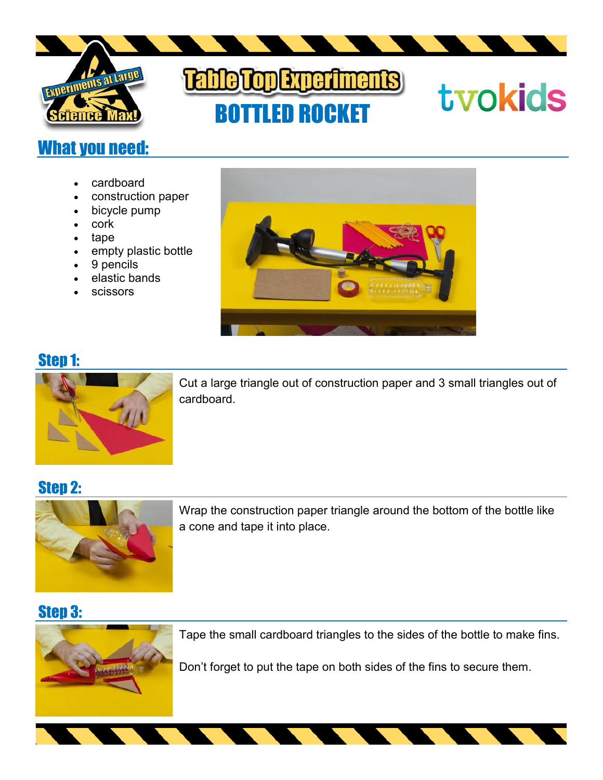

# BOTTLED ROCKET

# tvokids

# What you need:

- cardboard
- construction paper
- bicycle pump
- cork
- tape
- empty plastic bottle
- 9 pencils
- elastic bands
- scissors



# Step 1:



Cut a large triangle out of construction paper and 3 small triangles out of cardboard.

## Step 2:



Wrap the construction paper triangle around the bottom of the bottle like a cone and tape it into place.

# Step 3:



Tape the small cardboard triangles to the sides of the bottle to make fins.

Don't forget to put the tape on both sides of the fins to secure them.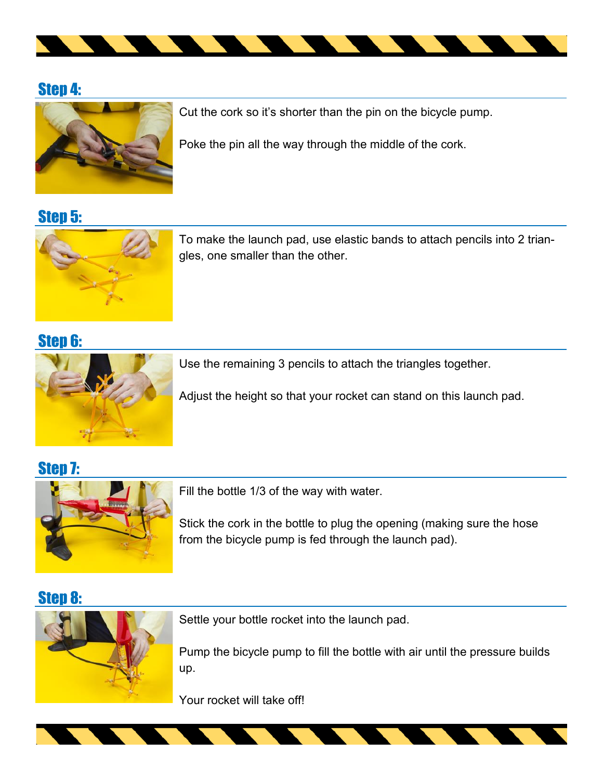

#### Step 4:



Cut the cork so it's shorter than the pin on the bicycle pump.

Poke the pin all the way through the middle of the cork.

Step 5:



To make the launch pad, use elastic bands to attach pencils into 2 triangles, one smaller than the other.

#### Step 6:



Use the remaining 3 pencils to attach the triangles together.

Adjust the height so that your rocket can stand on this launch pad.

Step 7:



Fill the bottle 1/3 of the way with water.

Stick the cork in the bottle to plug the opening (making sure the hose from the bicycle pump is fed through the launch pad).

#### Step 8:



Settle your bottle rocket into the launch pad.

Pump the bicycle pump to fill the bottle with air until the pressure builds up.

Your rocket will take off!